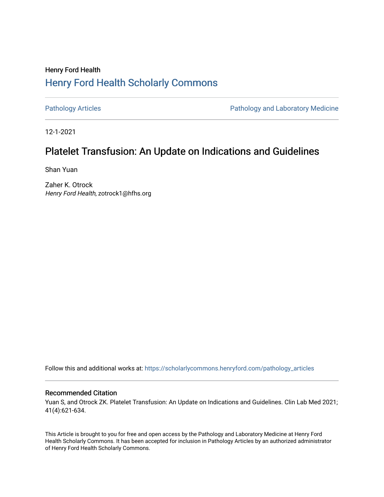## Henry Ford Health [Henry Ford Health Scholarly Commons](https://scholarlycommons.henryford.com/)

[Pathology Articles](https://scholarlycommons.henryford.com/pathology_articles) **Pathology Articles** Pathology and Laboratory Medicine

12-1-2021

# Platelet Transfusion: An Update on Indications and Guidelines

Shan Yuan

Zaher K. Otrock Henry Ford Health, zotrock1@hfhs.org

Follow this and additional works at: [https://scholarlycommons.henryford.com/pathology\\_articles](https://scholarlycommons.henryford.com/pathology_articles?utm_source=scholarlycommons.henryford.com%2Fpathology_articles%2F277&utm_medium=PDF&utm_campaign=PDFCoverPages)

## Recommended Citation

Yuan S, and Otrock ZK. Platelet Transfusion: An Update on Indications and Guidelines. Clin Lab Med 2021; 41(4):621-634.

This Article is brought to you for free and open access by the Pathology and Laboratory Medicine at Henry Ford Health Scholarly Commons. It has been accepted for inclusion in Pathology Articles by an authorized administrator of Henry Ford Health Scholarly Commons.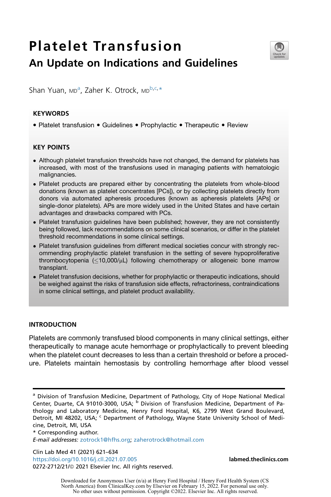# Platelet Transfusion An Update on Indications and Guidelines



Sh[a](#page-1-0)n Yuan, MD<sup>a</sup>, Zaher K. Otrock, MD<sup>[b](#page-1-1)[,c,](#page-1-2)[\\*](#page-1-3)</sup>

## KEYWORDS

• Platelet transfusion • Guidelines • Prophylactic • Therapeutic • Review

## KEY POINTS

- Although platelet transfusion thresholds have not changed, the demand for platelets has increased, with most of the transfusions used in managing patients with hematologic malignancies.
- Platelet products are prepared either by concentrating the platelets from whole-blood donations (known as platelet concentrates [PCs]), or by collecting platelets directly from donors via automated apheresis procedures (known as apheresis platelets [APs] or single-donor platelets). APs are more widely used in the United States and have certain advantages and drawbacks compared with PCs.
- Platelet transfusion guidelines have been published; however, they are not consistently being followed, lack recommendations on some clinical scenarios, or differ in the platelet threshold recommendations in some clinical settings.
- Platelet transfusion guidelines from different medical societies concur with strongly recommending prophylactic platelet transfusion in the setting of severe hypoproliferative thrombocytopenia  $\langle$ <10,000/ $\mu$ L) following chemotherapy or allogeneic bone marrow transplant.
- Platelet transfusion decisions, whether for prophylactic or therapeutic indications, should be weighed against the risks of transfusion side effects, refractoriness, contraindications in some clinical settings, and platelet product availability.

## INTRODUCTION

Platelets are commonly transfused blood components in many clinical settings, either therapeutically to manage acute hemorrhage or prophylactically to prevent bleeding when the platelet count decreases to less than a certain threshold or before a procedure. Platelets maintain hemostasis by controlling hemorrhage after blood vessel

<span id="page-1-3"></span><span id="page-1-2"></span>\* Corresponding author.

E-mail addresses: [zotrock1@hfhs.org](mailto:zotrock1@hfhs.org); [zaherotrock@hotmail.com](mailto:zaherotrock@hotmail.com)

Clin Lab Med 41 (2021) 621–634 <https://doi.org/10.1016/j.cll.2021.07.005> [labmed.theclinics.com](http://labmed.theclinics.com) 0272-2712/21/@ 2021 Elsevier Inc. All rights reserved.

<span id="page-1-1"></span><span id="page-1-0"></span><sup>&</sup>lt;sup>a</sup> Division of Transfusion Medicine, Department of Pathology, City of Hope National Medical Center, Duarte, CA 91010-3000, USA; <sup>b</sup> Division of Transfusion Medicine, Department of Pathology and Laboratory Medicine, Henry Ford Hospital, K6, 2799 West Grand Boulevard, Detroit, MI 48202, USA; <sup>c</sup> Department of Pathology, Wayne State University School of Medicine, Detroit, MI, USA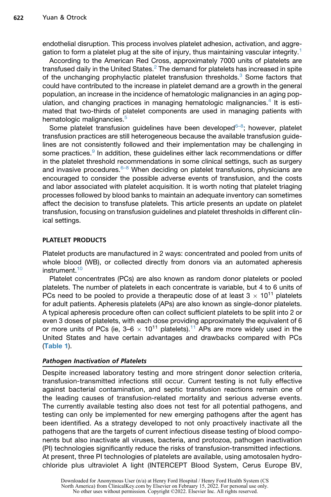endothelial disruption. This process involves platelet adhesion, activation, and aggregation to form a platelet plug at the site of injury, thus maintaining vascular integrity.[1](#page-10-0)

According to the American Red Cross, approximately 7000 units of platelets are transfused daily in the United States.<sup>[2](#page-10-1)</sup> The demand for platelets has increased in spite of the unchanging prophylactic platelet transfusion thresholds.<sup>[3](#page-10-2)</sup> Some factors that could have contributed to the increase in platelet demand are a growth in the general population, an increase in the incidence of hematologic malignancies in an aging pop-ulation, and changing practices in managing hematologic malignancies.<sup>[4](#page-10-3)</sup> It is estimated that two-thirds of platelet components are used in managing patients with hematologic malignancies.<sup>[5](#page-10-4)</sup>

Some platelet transfusion guidelines have been developed $6-8$ ; however, platelet transfusion practices are still heterogeneous because the available transfusion guidelines are not consistently followed and their implementation may be challenging in some practices.<sup>[9](#page-10-6)</sup> In addition, these guidelines either lack recommendations or differ in the platelet threshold recommendations in some clinical settings, such as surgery and invasive procedures.<sup>6-8</sup> When deciding on platelet transfusions, physicians are encouraged to consider the possible adverse events of transfusion, and the costs and labor associated with platelet acquisition. It is worth noting that platelet triaging processes followed by blood banks to maintain an adequate inventory can sometimes affect the decision to transfuse platelets. This article presents an update on platelet transfusion, focusing on transfusion guidelines and platelet thresholds in different clinical settings.

## PLATELET PRODUCTS

Platelet products are manufactured in 2 ways: concentrated and pooled from units of whole blood (WB), or collected directly from donors via an automated apheresis  $in$ strument $10$ 

Platelet concentrates (PCs) are also known as random donor platelets or pooled platelets. The number of platelets in each concentrate is variable, but 4 to 6 units of PCs need to be pooled to provide a therapeutic dose of at least  $3 \times 10^{11}$  platelets for adult patients. Apheresis platelets (APs) are also known as single-donor platelets. A typical apheresis procedure often can collect sufficient platelets to be split into 2 or even 3 doses of platelets, with each dose providing approximately the equivalent of 6 or more units of PCs (ie,  $3-6 \times 10^{11}$  $3-6 \times 10^{11}$  $3-6 \times 10^{11}$  platelets).<sup>11</sup> APs are more widely used in the United States and have certain advantages and drawbacks compared with PCs ([Table 1](#page-3-0)).

## Pathogen Inactivation of Platelets

Despite increased laboratory testing and more stringent donor selection criteria, transfusion-transmitted infections still occur. Current testing is not fully effective against bacterial contamination, and septic transfusion reactions remain one of the leading causes of transfusion-related mortality and serious adverse events. The currently available testing also does not test for all potential pathogens, and testing can only be implemented for new emerging pathogens after the agent has been identified. As a strategy developed to not only proactively inactivate all the pathogens that are the targets of current infectious disease testing of blood components but also inactivate all viruses, bacteria, and protozoa, pathogen inactivation (PI) technologies significantly reduce the risks of transfusion-transmitted infections. At present, three PI technologies of platelets are available, using amotosalen hydrochloride plus ultraviolet A light (INTERCEPT Blood System, Cerus Europe BV,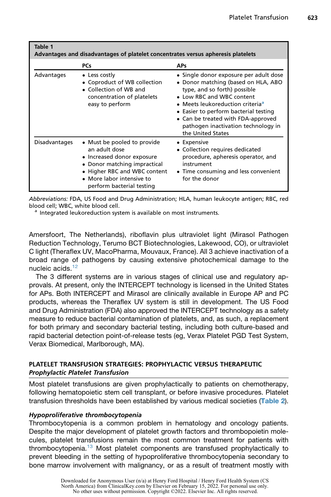<span id="page-3-0"></span>

| Table 1<br>Advantages and disadvantages of platelet concentrates versus apheresis platelets |                                                                                                                                                                                                      |                                                                                                                                                                                                                                                                                                                                       |  |  |
|---------------------------------------------------------------------------------------------|------------------------------------------------------------------------------------------------------------------------------------------------------------------------------------------------------|---------------------------------------------------------------------------------------------------------------------------------------------------------------------------------------------------------------------------------------------------------------------------------------------------------------------------------------|--|--|
|                                                                                             | <b>PCs</b>                                                                                                                                                                                           | <b>APs</b>                                                                                                                                                                                                                                                                                                                            |  |  |
| Advantages                                                                                  | • Less costly<br>• Coproduct of WB collection<br>• Collection of WB and<br>concentration of platelets<br>easy to perform                                                                             | • Single donor exposure per adult dose<br>• Donor matching (based on HLA, ABO<br>type, and so forth) possible<br>• Low RBC and WBC content<br>• Meets leukoreduction criteria <sup>a</sup><br>• Easier to perform bacterial testing<br>• Can be treated with FDA-approved<br>pathogen inactivation technology in<br>the United States |  |  |
| Disadvantages                                                                               | • Must be pooled to provide<br>an adult dose<br>• Increased donor exposure<br>• Donor matching impractical<br>• Higher RBC and WBC content<br>• More labor intensive to<br>perform bacterial testing | • Expensive<br>• Collection requires dedicated<br>procedure, apheresis operator, and<br>instrument<br>• Time consuming and less convenient<br>for the donor                                                                                                                                                                           |  |  |

Abbreviations: FDA, US Food and Drug Administration; HLA, human leukocyte antigen; RBC, red blood cell; WBC, white blood cell.<br><sup>a</sup> Integrated leukoreduction system is available on most instruments.

<span id="page-3-1"></span>

Amersfoort, The Netherlands), riboflavin plus ultraviolet light (Mirasol Pathogen Reduction Technology, Terumo BCT Biotechnologies, Lakewood, CO), or ultraviolet C light (Theraflex UV, MacoPharma, Mouvaux, France). All 3 achieve inactivation of a broad range of pathogens by causing extensive photochemical damage to the nucleic acids.<sup>[12](#page-10-9)</sup>

The 3 different systems are in various stages of clinical use and regulatory approvals. At present, only the INTERCEPT technology is licensed in the United States for APs. Both INTERCEPT and Mirasol are clinically available in Europe AP and PC products, whereas the Theraflex UV system is still in development. The US Food and Drug Administration (FDA) also approved the INTERCEPT technology as a safety measure to reduce bacterial contamination of platelets, and, as such, a replacement for both primary and secondary bacterial testing, including both culture-based and rapid bacterial detection point-of-release tests (eg, Verax Platelet PGD Test System, Verax Biomedical, Marlborough, MA).

## PLATELET TRANSFUSION STRATEGIES: PROPHYLACTIC VERSUS THERAPEUTIC Prophylactic Platelet Transfusion

Most platelet transfusions are given prophylactically to patients on chemotherapy, following hematopoietic stem cell transplant, or before invasive procedures. Platelet transfusion thresholds have been established by various medical societies ([Table 2](#page-4-0)).

## Hypoproliferative thrombocytopenia

Thrombocytopenia is a common problem in hematology and oncology patients. Despite the major development of platelet growth factors and thrombopoietin molecules, platelet transfusions remain the most common treatment for patients with thrombocytopenia.[13](#page-10-10) Most platelet components are transfused prophylactically to prevent bleeding in the setting of hypoproliferative thrombocytopenia secondary to bone marrow involvement with malignancy, or as a result of treatment mostly with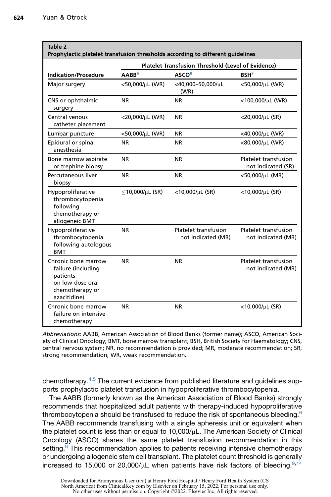<span id="page-4-0"></span>

| Table 2<br>Prophylactic platelet transfusion thresholds according to different guidelines                    |                                                    |                                            |                                            |  |
|--------------------------------------------------------------------------------------------------------------|----------------------------------------------------|--------------------------------------------|--------------------------------------------|--|
|                                                                                                              | Platelet Transfusion Threshold (Level of Evidence) |                                            |                                            |  |
| <b>Indication/Procedure</b>                                                                                  | AABB <sup>6</sup>                                  | ASCO <sup>8</sup>                          | BSH <sup>7</sup>                           |  |
| Major surgery                                                                                                | <50,000/µL (WR)                                    | $<$ 40,000-50,000/ $\mu$ L<br>(WR)         | <50,000/µL (WR)                            |  |
| CNS or ophthalmic<br>surgery                                                                                 | <b>NR</b>                                          | <b>NR</b>                                  | <100,000/µL (WR)                           |  |
| Central venous<br>catheter placement                                                                         | <20,000/µL (WR)                                    | <b>NR</b>                                  | <20,000/µL (SR)                            |  |
| Lumbar puncture                                                                                              | <50,000/μL (WR)                                    | <b>NR</b>                                  | <40,000/µL (WR)                            |  |
| Epidural or spinal<br>anesthesia                                                                             | ΝR                                                 | NR.                                        | <80,000/µL (WR)                            |  |
| Bone marrow aspirate<br>or trephine biopsy                                                                   | ΝR                                                 | <b>NR</b>                                  | Platelet transfusion<br>not indicated (SR) |  |
| Percutaneous liver<br>biopsy                                                                                 | NR.                                                | <b>NR</b>                                  | <50,000/µL (MR)                            |  |
| Hypoproliferative<br>thrombocytopenia<br>following<br>chemotherapy or<br>allogeneic BMT                      | $<$ 10,000/ $\mu$ L (SR)                           | $<$ 10,000/ $\mu$ L (SR)                   | <10,000/µL (SR)                            |  |
| Hypoproliferative<br>thrombocytopenia<br>following autologous<br><b>BMT</b>                                  | <b>NR</b>                                          | Platelet transfusion<br>not indicated (MR) | Platelet transfusion<br>not indicated (MR) |  |
| Chronic bone marrow<br>failure (including<br>patients<br>on low-dose oral<br>chemotherapy or<br>azacitidine) | NR.                                                | <b>NR</b>                                  | Platelet transfusion<br>not indicated (MR) |  |
| Chronic bone marrow<br>failure on intensive<br>chemotherapy                                                  | NR.                                                | <b>NR</b>                                  | <10,000/µL (SR)                            |  |

Abbreviations: AABB, American Association of Blood Banks (former name); ASCO, American Society of Clinical Oncology; BMT, bone marrow transplant; BSH, British Society for Haematology; CNS, central nervous system; NR, no recommendation is provided; MR, moderate recommendation; SR, strong recommendation; WR, weak recommendation.

chemotherapy.[4](#page-10-3)[,5](#page-10-4) The current evidence from published literature and guidelines supports prophylactic platelet transfusion in hypoproliferative thrombocytopenia.

The AABB (formerly known as the American Association of Blood Banks) strongly recommends that hospitalized adult patients with therapy-induced hypoproliferative thrombocytopenia should be transfused to reduce the risk of spontaneous bleeding.<sup>[6](#page-10-5)</sup> The AABB recommends transfusing with a single apheresis unit or equivalent when the platelet count is less than or equal to  $10,000/\mu$ L. The American Society of Clinical Oncology (ASCO) shares the same platelet transfusion recommendation in this setting.<sup>[8](#page-10-11)</sup> This recommendation applies to patients receiving intensive chemotherapy or undergoing allogeneic stem cell transplant. The platelet count threshold is generally increased to 15,000 or 20,000/ $\mu$ L when patients have risk factors of bleeding.<sup>[9,](#page-10-6)[14](#page-10-12)</sup>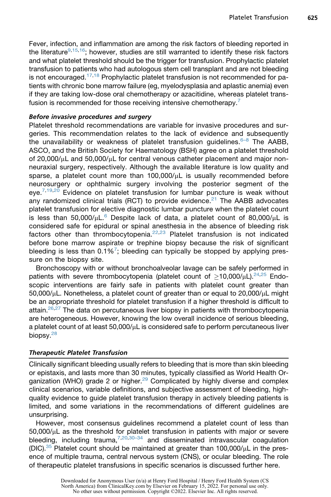Fever, infection, and inflammation are among the risk factors of bleeding reported in the literature<sup>[9](#page-10-6)[,15,](#page-10-14)16</sup>; however, studies are still warranted to identify these risk factors and what platelet threshold should be the trigger for transfusion. Prophylactic platelet transfusion to patients who had autologous stem cell transplant and are not bleeding is not encouraged. $17,18$  $17,18$  Prophylactic platelet transfusion is not recommended for patients with chronic bone marrow failure (eg, myelodysplasia and aplastic anemia) even if they are taking low-dose oral chemotherapy or azacitidine, whereas platelet trans-fusion is recommended for those receiving intensive chemotherapy.<sup>[7](#page-10-13)</sup>

## Before invasive procedures and surgery

Platelet threshold recommendations are variable for invasive procedures and surgeries. This recommendation relates to the lack of evidence and subsequently the unavailability or weakness of platelet transfusion guidelines. $6-8$  The AABB, ASCO, and the British Society for Haematology (BSH) agree on a platelet threshold of 20,000/ $\mu$ L and 50,000/ $\mu$ L for central venous catheter placement and major nonneuraxial surgery, respectively. Although the available literature is low quality and sparse, a platelet count more than  $100,000/\mu$ L is usually recommended before neurosurgery or ophthalmic surgery involving the posterior segment of the eye.<sup>[7,](#page-10-13)[19](#page-10-18)[,20](#page-11-0)</sup> Evidence on platelet transfusion for lumbar puncture is weak without any randomized clinical trials (RCT) to provide evidence.<sup>[21](#page-11-1)</sup> The AABB advocates platelet transfusion for elective diagnostic lumbar puncture when the platelet count is less than 50,000/ $\mu$ L.<sup>[6](#page-10-5)</sup> Despite lack of data, a platelet count of 80,000/ $\mu$ L is considered safe for epidural or spinal anesthesia in the absence of bleeding risk factors other than thrombocytopenia. $22,23$  $22,23$  Platelet transfusion is not indicated before bone marrow aspirate or trephine biopsy because the risk of significant bleeding is less than  $0.1\%$ <sup>[7](#page-10-13)</sup>; bleeding can typically be stopped by applying pressure on the biopsy site.

Bronchoscopy with or without bronchoalveolar lavage can be safely performed in patients with severe thrombocytopenia (platelet count of  $>10,000/\mu L$ ).<sup>[24](#page-11-4)[,25](#page-11-5)</sup> Endoscopic interventions are fairly safe in patients with platelet count greater than  $50,000/\mu$ L. Nonetheless, a platelet count of greater than or equal to  $20,000/\mu$ L might be an appropriate threshold for platelet transfusion if a higher threshold is difficult to attain. $26,27$  $26,27$  $26,27$  The data on percutaneous liver biopsy in patients with thrombocytopenia are heterogeneous. However, knowing the low overall incidence of serious bleeding, a platelet count of at least  $50,000/\mu L$  is considered safe to perform percutaneous liver biopsy.<sup>28</sup>

## Therapeutic Platelet Transfusion

Clinically significant bleeding usually refers to bleeding that is more than skin bleeding or epistaxis, and lasts more than 30 minutes, typically classified as World Health Or-ganization (WHO) grade 2 or higher.<sup>[29](#page-11-9)</sup> Complicated by highly diverse and complex clinical scenarios, variable definitions, and subjective assessment of bleeding, highquality evidence to guide platelet transfusion therapy in actively bleeding patients is limited, and some variations in the recommendations of different guidelines are unsurprising.

However, most consensus guidelines recommend a platelet count of less than  $50,000/\mu$ L as the threshold for platelet transfusion in patients with major or severe bleeding, including trauma,  $7,20,30-34$  $7,20,30-34$  $7,20,30-34$  $7,20,30-34$  and disseminated intravascular coagulation  $(DIC).^{35}$  Platelet count should be maintained at greater than 100,000/ $\mu$ L in the presence of multiple trauma, central nervous system (CNS), or ocular bleeding. The role of therapeutic platelet transfusions in specific scenarios is discussed further here.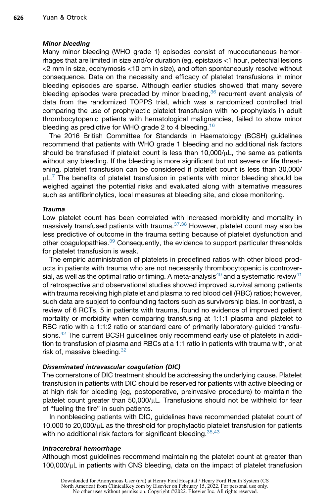#### Minor bleeding

Many minor bleeding (WHO grade 1) episodes consist of mucocutaneous hemorrhages that are limited in size and/or duration (eg, epistaxis <1 hour, petechial lesions <2 mm in size, ecchymosis <10 cm in size), and often spontaneously resolve without consequence. Data on the necessity and efficacy of platelet transfusions in minor bleeding episodes are sparse. Although earlier studies showed that many severe bleeding episodes were preceded by minor bleeding,<sup>[36](#page-11-12)</sup> recurrent event analysis of data from the randomized TOPPS trial, which was a randomized controlled trial comparing the use of prophylactic platelet transfusion with no prophylaxis in adult thrombocytopenic patients with hematological malignancies, failed to show minor bleeding as predictive for WHO grade 2 to 4 bleeding.<sup>[16](#page-10-15)</sup>

The 2016 British Committee for Standards in Haematology (BCSH) guidelines recommend that patients with WHO grade 1 bleeding and no additional risk factors should be transfused if platelet count is less than  $10,000/\mu L$ , the same as patients without any bleeding. If the bleeding is more significant but not severe or life threatening, platelet transfusion can be considered if platelet count is less than 30,000/  $\mu$ L.<sup>[7](#page-10-13)</sup> The benefits of platelet transfusion in patients with minor bleeding should be weighed against the potential risks and evaluated along with alternative measures such as antifibrinolytics, local measures at bleeding site, and close monitoring.

#### Trauma

Low platelet count has been correlated with increased morbidity and mortality in massively transfused patients with trauma.[37,](#page-11-13)[38](#page-11-14) However, platelet count may also be less predictive of outcome in the trauma setting because of platelet dysfunction and other coagulopathies.<sup>[39](#page-11-15)</sup> Consequently, the evidence to support particular thresholds for platelet transfusion is weak.

The empiric administration of platelets in predefined ratios with other blood products in patients with trauma who are not necessarily thrombocytopenic is controver-sial, as well as the optimal ratio or timing. A meta-analysis<sup>[40](#page-12-0)</sup> and a systematic review<sup>[41](#page-12-1)</sup> of retrospective and observational studies showed improved survival among patients with trauma receiving high platelet and plasma to red blood cell (RBC) ratios; however, such data are subject to confounding factors such as survivorship bias. In contrast, a review of 6 RCTs, 5 in patients with trauma, found no evidence of improved patient mortality or morbidity when comparing transfusing at 1:1:1 plasma and platelet to RBC ratio with a 1:1:2 ratio or standard care of primarily laboratory-guided transfusions.[42](#page-12-2) The current BCSH guidelines only recommend early use of platelets in addition to transfusion of plasma and RBCs at a 1:1 ratio in patients with trauma with, or at risk of, massive bleeding. [32](#page-11-16)

## Disseminated intravascular coagulation (DIC)

The cornerstone of DIC treatment should be addressing the underlying cause. Platelet transfusion in patients with DIC should be reserved for patients with active bleeding or at high risk for bleeding (eg, postoperative, preinvasive procedure) to maintain the platelet count greater than  $50,000/\mu$ L. Transfusions should not be withheld for fear of "fueling the fire" in such patients.

In nonbleeding patients with DIC, guidelines have recommended platelet count of  $10,000$  to  $20,000/\mu L$  as the threshold for prophylactic platelet transfusion for patients with no additional risk factors for significant bleeding. [35](#page-11-11)[,43](#page-12-3)

#### Intracerebral hemorrhage

Although most guidelines recommend maintaining the platelet count at greater than  $100,000/\mu$ L in patients with CNS bleeding, data on the impact of platelet transfusion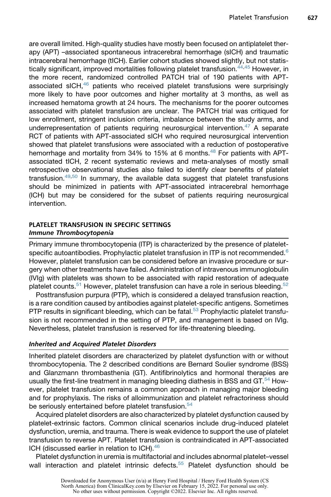are overall limited. High-quality studies have mostly been focused on antiplatelet therapy (APT) –associated spontaneous intracerebral hemorrhage (sICH) and traumatic intracerebral hemorrhage (tICH). Earlier cohort studies showed slightly, but not statis-tically significant, improved mortalities following platelet transfusion.<sup>[44](#page-12-4)[,45](#page-12-5)</sup> However, in the more recent, randomized controlled PATCH trial of 190 patients with APTassociated sICH, $46$  patients who received platelet transfusions were surprisingly more likely to have poor outcomes and higher mortality at 3 months, as well as increased hematoma growth at 24 hours. The mechanisms for the poorer outcomes associated with platelet transfusion are unclear. The PATCH trial was critiqued for low enrollment, stringent inclusion criteria, imbalance between the study arms, and underrepresentation of patients requiring neurosurgical intervention. $47$  A separate RCT of patients with APT-associated sICH who required neurosurgical intervention showed that platelet transfusions were associated with a reduction of postoperative hemorrhage and mortality from 34% to 15% at 6 months.<sup>[48](#page-12-8)</sup> For patients with APTassociated tICH, 2 recent systematic reviews and meta-analyses of mostly small retrospective observational studies also failed to identify clear benefits of platelet transfusion. $49,50$  $49,50$  $49,50$  In summary, the available data suggest that platelet transfusions should be minimized in patients with APT-associated intracerebral hemorrhage (ICH) but may be considered for the subset of patients requiring neurosurgical intervention.

## PLATELET TRANSFUSION IN SPECIFIC SETTINGS Immune Thrombocytopenia

Primary immune thrombocytopenia (ITP) is characterized by the presence of plateletspecific autoantibodies. Prophylactic platelet transfusion in ITP is not recommended. $6$ However, platelet transfusion can be considered before an invasive procedure or surgery when other treatments have failed. Administration of intravenous immunoglobulin (IVIg) with platelets was shown to be associated with rapid restoration of adequate platelet counts.<sup>51</sup> However, platelet transfusion can have a role in serious bleeding.<sup>[52](#page-12-12)</sup>

Posttransfusion purpura (PTP), which is considered a delayed transfusion reaction, is a rare condition caused by antibodies against platelet-specific antigens. Sometimes PTP results in significant bleeding, which can be fatal.<sup>[53](#page-12-13)</sup> Prophylactic platelet transfusion is not recommended in the setting of PTP, and management is based on IVIg. Nevertheless, platelet transfusion is reserved for life-threatening bleeding.

## Inherited and Acquired Platelet Disorders

Inherited platelet disorders are characterized by platelet dysfunction with or without thrombocytopenia. The 2 described conditions are Bernard Soulier syndrome (BSS) and Glanzmann thrombasthenia (GT). Antifibrinolytics and hormonal therapies are usually the first-line treatment in managing bleeding diathesis in BSS and  $GT<sup>54</sup>$  $GT<sup>54</sup>$  $GT<sup>54</sup>$  However, platelet transfusion remains a common approach in managing major bleeding and for prophylaxis. The risks of alloimmunization and platelet refractoriness should be seriously entertained before platelet transfusion.<sup>[54](#page-12-14)</sup>

Acquired platelet disorders are also characterized by platelet dysfunction caused by platelet-extrinsic factors. Common clinical scenarios include drug-induced platelet dysfunction, uremia, and trauma. There is weak evidence to support the use of platelet transfusion to reverse APT. Platelet transfusion is contraindicated in APT-associated ICH (discussed earlier in relation to ICH).<sup>[46](#page-12-6)</sup>

Platelet dysfunction in uremia is multifactorial and includes abnormal platelet–vessel wall interaction and platelet intrinsic defects. $55$  Platelet dysfunction should be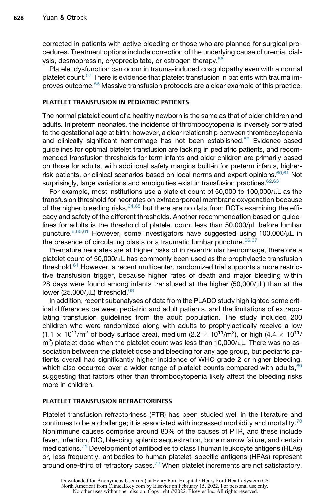corrected in patients with active bleeding or those who are planned for surgical procedures. Treatment options include correction of the underlying cause of uremia, dial-ysis, desmopressin, cryoprecipitate, or estrogen therapy.<sup>[56](#page-12-16)</sup>

Platelet dysfunction can occur in trauma-induced coagulopathy even with a normal platelet count.<sup>[57](#page-12-17)</sup> There is evidence that platelet transfusion in patients with trauma im-proves outcome.<sup>[58](#page-13-0)</sup> Massive transfusion protocols are a clear example of this practice.

#### PLATELET TRANSFUSION IN PEDIATRIC PATIENTS

The normal platelet count of a healthy newborn is the same as that of older children and adults. In preterm neonates, the incidence of thrombocytopenia is inversely correlated to the gestational age at birth; however, a clear relationship between thrombocytopenia and clinically significant hemorrhage has not been established.<sup>59</sup> Evidence-based guidelines for optimal platelet transfusion are lacking in pediatric patients, and recommended transfusion thresholds for term infants and older children are primarily based on those for adults, with additional safety margins built-in for preterm infants, higherrisk patients, or clinical scenarios based on local norms and expert opinions. $60,61$  $60,61$  Not surprisingly, large variations and ambiguities exist in transfusion practices. $62,63$  $62,63$ 

For example, most institutions use a platelet count of  $50,000$  to  $100,000/\mu$ L as the transfusion threshold for neonates on extracorporeal membrane oxygenation because of the higher bleeding risks,  $64,65$  $64,65$  but there are no data from RCTs examining the efficacy and safety of the different thresholds. Another recommendation based on guidelines for adults is the threshold of platelet count less than  $50,000/\mu$ L before lumbar puncture.<sup>[6](#page-10-5)[,60,](#page-13-2)[61](#page-13-3)</sup> However, some investigators have suggested using 100,000/µL in the presence of circulating blasts or a traumatic lumbar puncture.  $66,67$  $66,67$ 

Premature neonates are at higher risks of intraventricular hemorrhage, therefore a platelet count of 50,000/ $\mu$ L has commonly been used as the prophylactic transfusion threshold.<sup>[61](#page-13-3)</sup> However, a recent multicenter, randomized trial supports a more restrictive transfusion trigger, because higher rates of death and major bleeding within 28 days were found among infants transfused at the higher  $(50,000/\mu L)$  than at the lower (25,000/ $\mu$ L) threshold.<sup>[68](#page-13-10)</sup>

In addition, recent subanalyses of data from the PLADO study highlighted some critical differences between pediatric and adult patients, and the limitations of extrapolating transfusion guidelines from the adult population. The study included 200 children who were randomized along with adults to prophylactically receive a low  $(1.1 \times 10^{11}/\text{m}^2$  of body surface area), medium  $(2.2 \times 10^{11}/\text{m}^2)$ , or high  $(4.4 \times 10^{11}/\text{m}^2)$  $m^2$ ) platelet dose when the platelet count was less than 10,000/ $\mu$ L. There was no association between the platelet dose and bleeding for any age group, but pediatric patients overall had significantly higher incidence of WHO grade 2 or higher bleeding, which also occurred over a wider range of platelet counts compared with adults, <sup>[69](#page-13-11)</sup> suggesting that factors other than thrombocytopenia likely affect the bleeding risks more in children.

#### PLATELET TRANSFUSION REFRACTORINESS

Platelet transfusion refractoriness (PTR) has been studied well in the literature and continues to be a challenge; it is associated with increased morbidity and mortality.<sup>[70](#page-13-12)</sup> Nonimmune causes comprise around 80% of the causes of PTR, and these include fever, infection, DIC, bleeding, splenic sequestration, bone marrow failure, and certain medications.[71](#page-13-13) Development of antibodies to class I human leukocyte antigens (HLAs) or, less frequently, antibodies to human platelet–specific antigens (HPAs) represent around one-third of refractory cases.<sup>[72](#page-13-14)</sup> When platelet increments are not satisfactory,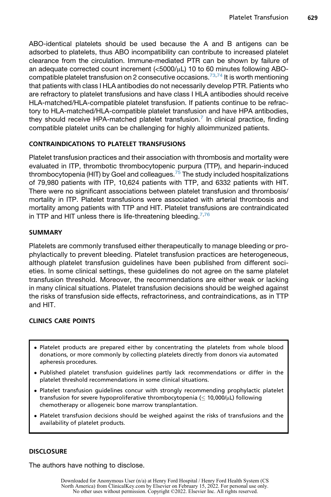ABO-identical platelets should be used because the A and B antigens can be adsorbed to platelets, thus ABO incompatibility can contribute to increased platelet clearance from the circulation. Immune-mediated PTR can be shown by failure of an adequate corrected count increment  $\langle$ <5000/ $\mu$ L) 10 to 60 minutes following ABO-compatible platelet transfusion on 2 consecutive occasions.<sup>[73](#page-13-15)[,74](#page-13-16)</sup> It is worth mentioning that patients with class I HLA antibodies do not necessarily develop PTR. Patients who are refractory to platelet transfusions and have class I HLA antibodies should receive HLA-matched/HLA-compatible platelet transfusion. If patients continue to be refractory to HLA-matched/HLA-compatible platelet transfusion and have HPA antibodies, they should receive HPA-matched platelet transfusion.<sup>[7](#page-10-13)</sup> In clinical practice, finding compatible platelet units can be challenging for highly alloimmunized patients.

## CONTRAINDICATIONS TO PLATELET TRANSFUSIONS

Platelet transfusion practices and their association with thrombosis and mortality were evaluated in ITP, thrombotic thrombocytopenic purpura (TTP), and heparin-induced thrombocytopenia (HIT) by Goel and colleagues.<sup>[75](#page-14-0)</sup> The study included hospitalizations of 79,980 patients with ITP, 10,624 patients with TTP, and 6332 patients with HIT. There were no significant associations between platelet transfusion and thrombosis/ mortality in ITP. Platelet transfusions were associated with arterial thrombosis and mortality among patients with TTP and HIT. Platelet transfusions are contraindicated in TTP and HIT unless there is life-threatening bleeding.  $7,76$  $7,76$ 

## SUMMARY

Platelets are commonly transfused either therapeutically to manage bleeding or prophylactically to prevent bleeding. Platelet transfusion practices are heterogeneous, although platelet transfusion guidelines have been published from different societies. In some clinical settings, these guidelines do not agree on the same platelet transfusion threshold. Moreover, the recommendations are either weak or lacking in many clinical situations. Platelet transfusion decisions should be weighed against the risks of transfusion side effects, refractoriness, and contraindications, as in TTP and HIT.

## CLINICS CARE POINTS

- Platelet products are prepared either by concentrating the platelets from whole blood donations, or more commonly by collecting platelets directly from donors via automated apheresis procedures.
- Published platelet transfusion guidelines partly lack recommendations or differ in the platelet threshold recommendations in some clinical situations.
- Platelet transfusion guidelines concur with strongly recommending prophylactic platelet transfusion for severe hypoproliferative thrombocytopenia ( $\leq 10,000/\mu$ L) following chemotherapy or allogeneic bone marrow transplantation.
- Platelet transfusion decisions should be weighed against the risks of transfusions and the availability of platelet products.

## **DISCLOSURE**

The authors have nothing to disclose.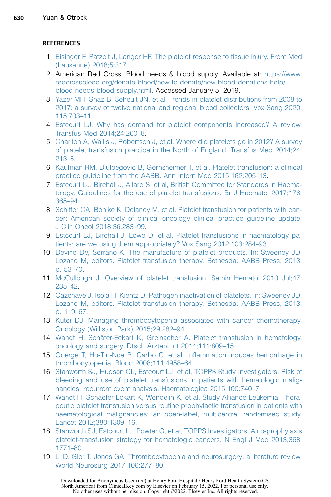## **REFERENCES**

- <span id="page-10-0"></span>1. [Eisinger F, Patzelt J, Langer HF. The platelet response to tissue injury. Front Med](http://refhub.elsevier.com/S0272-2712(21)00049-4/sref1) [\(Lausanne\) 2018;5:317](http://refhub.elsevier.com/S0272-2712(21)00049-4/sref1).
- <span id="page-10-1"></span>2. American Red Cross. Blood needs & blood supply. Available at: [https://www.](https://www.redcrossblood.org/donate-blood/how-to-donate/how-blood-donations-help/blood-needs-blood-supply.html) [redcrossblood.org/donate-blood/how-to-donate/how-blood-donations-help/](https://www.redcrossblood.org/donate-blood/how-to-donate/how-blood-donations-help/blood-needs-blood-supply.html) [blood-needs-blood-supply.html](https://www.redcrossblood.org/donate-blood/how-to-donate/how-blood-donations-help/blood-needs-blood-supply.html). Accessed January 5, 2019.
- <span id="page-10-2"></span>3. [Yazer MH, Shaz B, Seheult JN, et al. Trends in platelet distributions from 2008 to](http://refhub.elsevier.com/S0272-2712(21)00049-4/sref3) [2017: a survey of twelve national and regional blood collectors. Vox Sang 2020;](http://refhub.elsevier.com/S0272-2712(21)00049-4/sref3) [115:703–11.](http://refhub.elsevier.com/S0272-2712(21)00049-4/sref3)
- <span id="page-10-3"></span>4. [Estcourt LJ. Why has demand for platelet components increased? A review.](http://refhub.elsevier.com/S0272-2712(21)00049-4/sref4) [Transfus Med 2014;24:260–8.](http://refhub.elsevier.com/S0272-2712(21)00049-4/sref4)
- <span id="page-10-4"></span>5. [Charlton A, Wallis J, Robertson J, et al. Where did platelets go in 2012? A survey](http://refhub.elsevier.com/S0272-2712(21)00049-4/sref5) [of platelet transfusion practice in the North of England. Transfus Med 2014;24:](http://refhub.elsevier.com/S0272-2712(21)00049-4/sref5) [213–8.](http://refhub.elsevier.com/S0272-2712(21)00049-4/sref5)
- <span id="page-10-5"></span>6. [Kaufman RM, Djulbegovic B, Gernsheimer T, et al. Platelet transfusion: a clinical](http://refhub.elsevier.com/S0272-2712(21)00049-4/sref6) [practice guideline from the AABB. Ann Intern Med 2015;162:205–13](http://refhub.elsevier.com/S0272-2712(21)00049-4/sref6).
- <span id="page-10-13"></span>7. [Estcourt LJ, Birchall J, Allard S, et al, British Committee for Standards in Haema](http://refhub.elsevier.com/S0272-2712(21)00049-4/sref7)[tology. Guidelines for the use of platelet transfusions. Br J Haematol 2017;176:](http://refhub.elsevier.com/S0272-2712(21)00049-4/sref7) [365–94.](http://refhub.elsevier.com/S0272-2712(21)00049-4/sref7)
- <span id="page-10-11"></span>8. [Schiffer CA, Bohlke K, Delaney M, et al. Platelet transfusion for patients with can](http://refhub.elsevier.com/S0272-2712(21)00049-4/sref8)[cer: American society of clinical oncology clinical practice guideline update.](http://refhub.elsevier.com/S0272-2712(21)00049-4/sref8) [J Clin Oncol 2018;36:283–99.](http://refhub.elsevier.com/S0272-2712(21)00049-4/sref8)
- <span id="page-10-6"></span>9. [Estcourt LJ, Birchall J, Lowe D, et al. Platelet transfusions in haematology pa](http://refhub.elsevier.com/S0272-2712(21)00049-4/sref9)[tients: are we using them appropriately? Vox Sang 2012;103:284–93](http://refhub.elsevier.com/S0272-2712(21)00049-4/sref9).
- <span id="page-10-7"></span>10. [Devine DV, Serrano K. The manufacture of platelet products. In: Sweeney JD,](http://refhub.elsevier.com/S0272-2712(21)00049-4/sref10) [Lozano M, editors. Platelet transfusion therapy. Bethesda: AABB Press; 2013.](http://refhub.elsevier.com/S0272-2712(21)00049-4/sref10) [p. 53–70.](http://refhub.elsevier.com/S0272-2712(21)00049-4/sref10)
- <span id="page-10-8"></span>11. [McCullough J. Overview of platelet transfusion. Semin Hematol 2010 Jul;47:](http://refhub.elsevier.com/S0272-2712(21)00049-4/sref11) [235–42.](http://refhub.elsevier.com/S0272-2712(21)00049-4/sref11)
- <span id="page-10-9"></span>12. [Cazenave J, Isola H, Kientz D. Pathogen inactivation of platelets. In: Sweeney JD,](http://refhub.elsevier.com/S0272-2712(21)00049-4/sref12) [Lozano M, editors. Platelet transfusion therapy. Bethesda: AABB Press; 2013.](http://refhub.elsevier.com/S0272-2712(21)00049-4/sref12) [p. 119–67.](http://refhub.elsevier.com/S0272-2712(21)00049-4/sref12)
- <span id="page-10-10"></span>13. [Kuter DJ. Managing thrombocytopenia associated with cancer chemotherapy.](http://refhub.elsevier.com/S0272-2712(21)00049-4/sref13) [Oncology \(Williston Park\) 2015;29:282–94.](http://refhub.elsevier.com/S0272-2712(21)00049-4/sref13)
- <span id="page-10-12"></span>14. Wandt H, Schäfer-Eckart K, Greinacher A. Platelet transfusion in hematology, [oncology and surgery. Dtsch Arztebl Int 2014;111:809–15](http://refhub.elsevier.com/S0272-2712(21)00049-4/sref14).
- <span id="page-10-14"></span>15. [Goerge T, Ho-Tin-Noe B, Carbo C, et al. Inflammation induces hemorrhage in](http://refhub.elsevier.com/S0272-2712(21)00049-4/sref15) [thrombocytopenia. Blood 2008;111:4958–64.](http://refhub.elsevier.com/S0272-2712(21)00049-4/sref15)
- <span id="page-10-15"></span>16. [Stanworth SJ, Hudson CL, Estcourt LJ, et al, TOPPS Study Investigators. Risk of](http://refhub.elsevier.com/S0272-2712(21)00049-4/sref16) [bleeding and use of platelet transfusions in patients with hematologic malig](http://refhub.elsevier.com/S0272-2712(21)00049-4/sref16)[nancies: recurrent event analysis. Haematologica 2015;100:740–7](http://refhub.elsevier.com/S0272-2712(21)00049-4/sref16).
- <span id="page-10-16"></span>17. [Wandt H, Schaefer-Eckart K, Wendelin K, et al. Study Alliance Leukemia. Thera](http://refhub.elsevier.com/S0272-2712(21)00049-4/sref17)[peutic platelet transfusion versus routine prophylactic transfusion in patients with](http://refhub.elsevier.com/S0272-2712(21)00049-4/sref17) [haematological malignancies: an open-label, multicentre, randomised study.](http://refhub.elsevier.com/S0272-2712(21)00049-4/sref17) [Lancet 2012;380:1309–16](http://refhub.elsevier.com/S0272-2712(21)00049-4/sref17).
- <span id="page-10-17"></span>18. [Stanworth SJ, Estcourt LJ, Powter G, et al, TOPPS Investigators. A no-prophylaxis](http://refhub.elsevier.com/S0272-2712(21)00049-4/sref18) [platelet-transfusion strategy for hematologic cancers. N Engl J Med 2013;368:](http://refhub.elsevier.com/S0272-2712(21)00049-4/sref18) [1771–80.](http://refhub.elsevier.com/S0272-2712(21)00049-4/sref18)
- <span id="page-10-18"></span>19. [Li D, Glor T, Jones GA. Thrombocytopenia and neurosurgery: a literature review.](http://refhub.elsevier.com/S0272-2712(21)00049-4/sref19) [World Neurosurg 2017;106:277–80.](http://refhub.elsevier.com/S0272-2712(21)00049-4/sref19)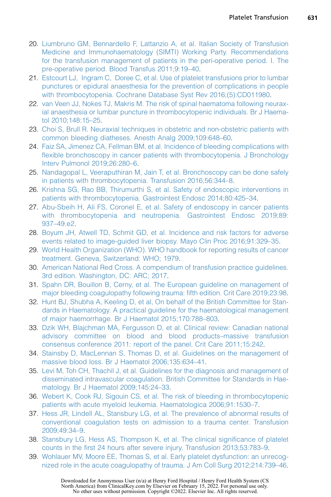- <span id="page-11-0"></span>20. [Liumbruno GM, Bennardello F, Lattanzio A, et al. Italian Society of Transfusion](http://refhub.elsevier.com/S0272-2712(21)00049-4/sref20) [Medicine and Immunohaematology \(SIMTI\) Working Party. Recommendations](http://refhub.elsevier.com/S0272-2712(21)00049-4/sref20) [for the transfusion management of patients in the peri-operative period. I. The](http://refhub.elsevier.com/S0272-2712(21)00049-4/sref20) [pre-operative period. Blood Transfus 2011;9:19–40.](http://refhub.elsevier.com/S0272-2712(21)00049-4/sref20)
- <span id="page-11-1"></span>21. [Estcourt LJ, Ingram C, Doree C, et al. Use of platelet transfusions prior to lumbar](http://refhub.elsevier.com/S0272-2712(21)00049-4/sref21) [punctures or epidural anaesthesia for the prevention of complications in people](http://refhub.elsevier.com/S0272-2712(21)00049-4/sref21) [with thrombocytopenia. Cochrane Database Syst Rev 2016;\(5\):CD011980](http://refhub.elsevier.com/S0272-2712(21)00049-4/sref21).
- <span id="page-11-2"></span>22. [van Veen JJ, Nokes TJ, Makris M. The risk of spinal haematoma following neurax](http://refhub.elsevier.com/S0272-2712(21)00049-4/sref22)[ial anaesthesia or lumbar puncture in thrombocytopenic individuals. Br J Haema](http://refhub.elsevier.com/S0272-2712(21)00049-4/sref22)[tol 2010;148:15–25](http://refhub.elsevier.com/S0272-2712(21)00049-4/sref22).
- <span id="page-11-3"></span>23. [Choi S, Brull R. Neuraxial techniques in obstetric and non-obstetric patients with](http://refhub.elsevier.com/S0272-2712(21)00049-4/sref23) [common bleeding diatheses. Anesth Analg 2009;109:648–60](http://refhub.elsevier.com/S0272-2712(21)00049-4/sref23).
- <span id="page-11-4"></span>24. [Faiz SA, Jimenez CA, Fellman BM, et al. Incidence of bleeding complications with](http://refhub.elsevier.com/S0272-2712(21)00049-4/sref24) [flexible bronchoscopy in cancer patients with thrombocytopenia. J Bronchology](http://refhub.elsevier.com/S0272-2712(21)00049-4/sref24) [Interv Pulmonol 2019;26:280–6.](http://refhub.elsevier.com/S0272-2712(21)00049-4/sref24)
- <span id="page-11-5"></span>25. [Nandagopal L, Veeraputhiran M, Jain T, et al. Bronchoscopy can be done safely](http://refhub.elsevier.com/S0272-2712(21)00049-4/sref25) [in patients with thrombocytopenia. Transfusion 2016;56:344–8.](http://refhub.elsevier.com/S0272-2712(21)00049-4/sref25)
- <span id="page-11-6"></span>26. [Krishna SG, Rao BB, Thirumurthi S, et al. Safety of endoscopic interventions in](http://refhub.elsevier.com/S0272-2712(21)00049-4/sref26) [patients with thrombocytopenia. Gastrointest Endosc 2014;80:425–34.](http://refhub.elsevier.com/S0272-2712(21)00049-4/sref26)
- <span id="page-11-7"></span>27. [Abu-Sbeih H, Ali FS, Coronel E, et al. Safety of endoscopy in cancer patients](http://refhub.elsevier.com/S0272-2712(21)00049-4/sref27) [with thrombocytopenia and neutropenia. Gastrointest Endosc 2019;89:](http://refhub.elsevier.com/S0272-2712(21)00049-4/sref27) [937–49.e2](http://refhub.elsevier.com/S0272-2712(21)00049-4/sref27).
- <span id="page-11-8"></span>28. [Boyum JH, Atwell TD, Schmit GD, et al. Incidence and risk factors for adverse](http://refhub.elsevier.com/S0272-2712(21)00049-4/sref28) [events related to image-guided liver biopsy. Mayo Clin Proc 2016;91:329–35.](http://refhub.elsevier.com/S0272-2712(21)00049-4/sref28)
- <span id="page-11-9"></span>29. [World Health Organization \(WHO\). WHO handbook for reporting results of cancer](http://refhub.elsevier.com/S0272-2712(21)00049-4/sref29) [treatment. Geneva, Switzerland: WHO; 1979](http://refhub.elsevier.com/S0272-2712(21)00049-4/sref29).
- <span id="page-11-10"></span>30. [American National Red Cross. A compendium of transfusion practice guidelines.](http://refhub.elsevier.com/S0272-2712(21)00049-4/sref30) [3rd edition. Washington, DC: ARC; 2017.](http://refhub.elsevier.com/S0272-2712(21)00049-4/sref30)
- 31. [Spahn DR, Bouillon B, Cerny, et al. The European guideline on management of](http://refhub.elsevier.com/S0272-2712(21)00049-4/sref31) [major bleeding coagulopathy following trauma: fifth edition. Crit Care 2019;23:98](http://refhub.elsevier.com/S0272-2712(21)00049-4/sref31).
- <span id="page-11-16"></span>32. [Hunt BJ, Shubha A, Keeling D, et al, On behalf of the British Committee for Stan](http://refhub.elsevier.com/S0272-2712(21)00049-4/sref32)[dards in Haematology. A practical guideline for the haematological management](http://refhub.elsevier.com/S0272-2712(21)00049-4/sref32) [of major haemorrhage. Br J Haematol 2015;170:788–803](http://refhub.elsevier.com/S0272-2712(21)00049-4/sref32).
- 33. [Dzik WH, Blajchman MA, Fergusson D, et al. Clinical review: Canadian national](http://refhub.elsevier.com/S0272-2712(21)00049-4/sref33) [advisory committee on blood and blood products–massive transfusion](http://refhub.elsevier.com/S0272-2712(21)00049-4/sref33) [consensus conference 2011: report of the panel. Crit Care 2011;15:242.](http://refhub.elsevier.com/S0272-2712(21)00049-4/sref33)
- 34. [Stainsby D, MacLennan S, Thomas D, et al. Guidelines on the management of](http://refhub.elsevier.com/S0272-2712(21)00049-4/sref34) [massive blood loss. Br J Haematol 2006;135:634–41](http://refhub.elsevier.com/S0272-2712(21)00049-4/sref34).
- <span id="page-11-11"></span>35. [Levi M, Toh CH, Thachil J, et al. Guidelines for the diagnosis and management of](http://refhub.elsevier.com/S0272-2712(21)00049-4/sref35) [disseminated intravascular coagulation. British Committee for Standards in Hae](http://refhub.elsevier.com/S0272-2712(21)00049-4/sref35)[matology. Br J Haematol 2009;145:24–33.](http://refhub.elsevier.com/S0272-2712(21)00049-4/sref35)
- <span id="page-11-13"></span><span id="page-11-12"></span>36. [Webert K, Cook RJ, Sigouin CS, et al. The risk of bleeding in thrombocytopenic](http://refhub.elsevier.com/S0272-2712(21)00049-4/sref36) [patients with acute myeloid leukemia. Haematologica 2006;91:1530–7.](http://refhub.elsevier.com/S0272-2712(21)00049-4/sref36)
- 37. [Hess JR, Lindell AL, Stansbury LG, et al. The prevalence of abnormal results of](http://refhub.elsevier.com/S0272-2712(21)00049-4/sref37) [conventional coagulation tests on admission to a trauma center. Transfusion](http://refhub.elsevier.com/S0272-2712(21)00049-4/sref37) [2009;49:34–9.](http://refhub.elsevier.com/S0272-2712(21)00049-4/sref37)
- <span id="page-11-15"></span><span id="page-11-14"></span>38. [Stansbury LG, Hess AS, Thompson K, et al. The clinical significance of platelet](http://refhub.elsevier.com/S0272-2712(21)00049-4/sref38) [counts in the first 24 hours after severe injury. Transfusion 2013;53:783–9.](http://refhub.elsevier.com/S0272-2712(21)00049-4/sref38)
- 39. [Wohlauer MV, Moore EE, Thomas S, et al. Early platelet dysfunction: an unrecog](http://refhub.elsevier.com/S0272-2712(21)00049-4/sref39)[nized role in the acute coagulopathy of trauma. J Am Coll Surg 2012;214:739–46](http://refhub.elsevier.com/S0272-2712(21)00049-4/sref39).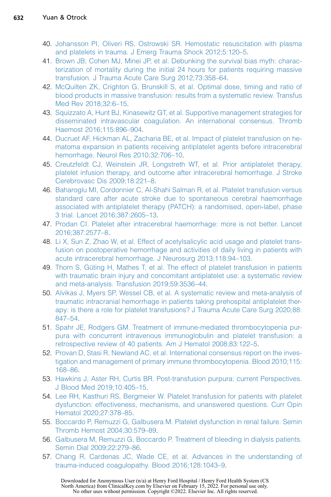- <span id="page-12-0"></span>40. [Johansson PI, Oliveri RS, Ostrowski SR. Hemostatic resuscitation with plasma](http://refhub.elsevier.com/S0272-2712(21)00049-4/sref40) [and platelets in trauma. J Emerg Trauma Shock 2012;5:120–5](http://refhub.elsevier.com/S0272-2712(21)00049-4/sref40).
- <span id="page-12-1"></span>41. [Brown JB, Cohen MJ, Minei JP, et al. Debunking the survival bias myth: charac](http://refhub.elsevier.com/S0272-2712(21)00049-4/sref41)[terization of mortality during the initial 24 hours for patients requiring massive](http://refhub.elsevier.com/S0272-2712(21)00049-4/sref41) [transfusion. J Trauma Acute Care Surg 2012;73:358–64.](http://refhub.elsevier.com/S0272-2712(21)00049-4/sref41)
- <span id="page-12-2"></span>42. [McQuilten ZK, Crighton G, Brunskill S, et al. Optimal dose, timing and ratio of](http://refhub.elsevier.com/S0272-2712(21)00049-4/sref42) [blood products in massive transfusion: results from a systematic review. Transfus](http://refhub.elsevier.com/S0272-2712(21)00049-4/sref42) [Med Rev 2018;32:6–15.](http://refhub.elsevier.com/S0272-2712(21)00049-4/sref42)
- <span id="page-12-3"></span>43. [Squizzato A, Hunt BJ, Kinasewitz GT, et al. Supportive management strategies for](http://refhub.elsevier.com/S0272-2712(21)00049-4/sref43) [disseminated intravascular coagulation. An international consensus. Thromb](http://refhub.elsevier.com/S0272-2712(21)00049-4/sref43) [Haemost 2016;115:896–904.](http://refhub.elsevier.com/S0272-2712(21)00049-4/sref43)
- <span id="page-12-4"></span>44. [Ducruet AF, Hickman AL, Zacharia BE, et al. Impact of platelet transfusion on he](http://refhub.elsevier.com/S0272-2712(21)00049-4/sref44)[matoma expansion in patients receiving antiplatelet agents before intracerebral](http://refhub.elsevier.com/S0272-2712(21)00049-4/sref44) [hemorrhage. Neurol Res 2010;32:706–10.](http://refhub.elsevier.com/S0272-2712(21)00049-4/sref44)
- <span id="page-12-5"></span>45. [Creutzfeldt CJ, Weinstein JR, Longstreth WT, et al. Prior antiplatelet therapy,](http://refhub.elsevier.com/S0272-2712(21)00049-4/sref45) [platelet infusion therapy, and outcome after intracerebral hemorrhage. J Stroke](http://refhub.elsevier.com/S0272-2712(21)00049-4/sref45) [Cerebrovasc Dis 2009;18:221–8.](http://refhub.elsevier.com/S0272-2712(21)00049-4/sref45)
- <span id="page-12-6"></span>46. [Baharoglu MI, Cordonnier C, Al-Shahi Salman R, et al. Platelet transfusion versus](http://refhub.elsevier.com/S0272-2712(21)00049-4/sref46) [standard care after acute stroke due to spontaneous cerebral haemorrhage](http://refhub.elsevier.com/S0272-2712(21)00049-4/sref46) [associated with antiplatelet therapy \(PATCH\): a randomised, open-label, phase](http://refhub.elsevier.com/S0272-2712(21)00049-4/sref46) [3 trial. Lancet 2016;387:2605–13](http://refhub.elsevier.com/S0272-2712(21)00049-4/sref46).
- <span id="page-12-7"></span>47. [Prodan CI. Platelet after intracerebral haemorrhage: more is not better. Lancet](http://refhub.elsevier.com/S0272-2712(21)00049-4/sref47) [2016;387:2577–8](http://refhub.elsevier.com/S0272-2712(21)00049-4/sref47).
- <span id="page-12-8"></span>48. [Li X, Sun Z, Zhao W, et al. Effect of acetylsalicylic acid usage and platelet trans](http://refhub.elsevier.com/S0272-2712(21)00049-4/sref48)[fusion on postoperative hemorrhage and activities of daily living in patients with](http://refhub.elsevier.com/S0272-2712(21)00049-4/sref48) [acute intracerebral hemorrhage. J Neurosurg 2013;118:94–103.](http://refhub.elsevier.com/S0272-2712(21)00049-4/sref48)
- <span id="page-12-9"></span>49. Thorn S, Güting H, Mathes T, et al. The effect of platelet transfusion in patients [with traumatic brain injury and concomitant antiplatelet use: a systematic review](http://refhub.elsevier.com/S0272-2712(21)00049-4/sref49) [and meta-analysis. Transfusion 2019;59:3536–44.](http://refhub.elsevier.com/S0272-2712(21)00049-4/sref49)
- <span id="page-12-10"></span>50. [Alvikas J, Myers SP, Wessel CB, et al. A systematic review and meta-analysis of](http://refhub.elsevier.com/S0272-2712(21)00049-4/sref50) [traumatic intracranial hemorrhage in patients taking prehospital antiplatelet ther](http://refhub.elsevier.com/S0272-2712(21)00049-4/sref50)[apy: is there a role for platelet transfusions? J Trauma Acute Care Surg 2020;88:](http://refhub.elsevier.com/S0272-2712(21)00049-4/sref50) [847–54.](http://refhub.elsevier.com/S0272-2712(21)00049-4/sref50)
- <span id="page-12-11"></span>51. [Spahr JE, Rodgers GM. Treatment of immune-mediated thrombocytopenia pur](http://refhub.elsevier.com/S0272-2712(21)00049-4/sref51)[pura with concurrent intravenous immunoglobulin and platelet transfusion: a](http://refhub.elsevier.com/S0272-2712(21)00049-4/sref51) [retrospective review of 40 patients. Am J Hematol 2008;83:122–5.](http://refhub.elsevier.com/S0272-2712(21)00049-4/sref51)
- <span id="page-12-12"></span>52. [Provan D, Stasi R, Newland AC, et al. International consensus report on the inves](http://refhub.elsevier.com/S0272-2712(21)00049-4/sref52)[tigation and management of primary immune thrombocytopenia. Blood 2010;115:](http://refhub.elsevier.com/S0272-2712(21)00049-4/sref52) [168–86.](http://refhub.elsevier.com/S0272-2712(21)00049-4/sref52)
- <span id="page-12-14"></span><span id="page-12-13"></span>53. [Hawkins J, Aster RH, Curtis BR. Post-transfusion purpura: current Perspectives.](http://refhub.elsevier.com/S0272-2712(21)00049-4/sref53) [J Blood Med 2019;10:405–15](http://refhub.elsevier.com/S0272-2712(21)00049-4/sref53).
- 54. [Lee RH, Kasthuri RS, Bergmeier W. Platelet transfusion for patients with platelet](http://refhub.elsevier.com/S0272-2712(21)00049-4/sref54) [dysfunction: effectiveness, mechanisms, and unanswered questions. Curr Opin](http://refhub.elsevier.com/S0272-2712(21)00049-4/sref54) [Hematol 2020;27:378–85.](http://refhub.elsevier.com/S0272-2712(21)00049-4/sref54)
- <span id="page-12-16"></span><span id="page-12-15"></span>55. [Boccardo P, Remuzzi G, Galbusera M. Platelet dysfunction in renal failure. Semin](http://refhub.elsevier.com/S0272-2712(21)00049-4/sref55) [Thromb Hemost 2004;30:579–89.](http://refhub.elsevier.com/S0272-2712(21)00049-4/sref55)
- <span id="page-12-17"></span>56. [Galbusera M, Remuzzi G, Boccardo P. Treatment of bleeding in dialysis patients.](http://refhub.elsevier.com/S0272-2712(21)00049-4/sref56) [Semin Dial 2009;22:279–86](http://refhub.elsevier.com/S0272-2712(21)00049-4/sref56).
- 57. [Chang R, Cardenas JC, Wade CE, et al. Advances in the understanding of](http://refhub.elsevier.com/S0272-2712(21)00049-4/sref57) [trauma-induced coagulopathy. Blood 2016;128:1043–9.](http://refhub.elsevier.com/S0272-2712(21)00049-4/sref57)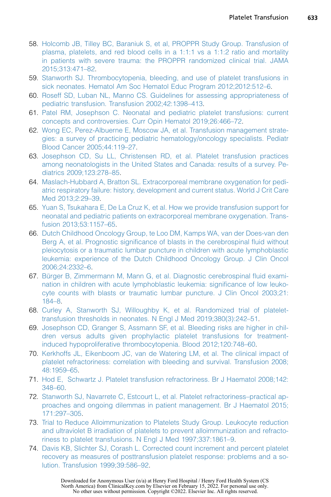- <span id="page-13-0"></span>58. [Holcomb JB, Tilley BC, Baraniuk S, et al, PROPPR Study Group. Transfusion of](http://refhub.elsevier.com/S0272-2712(21)00049-4/sref58) [plasma, platelets, and red blood cells in a 1:1:1 vs a 1:1:2 ratio and mortality](http://refhub.elsevier.com/S0272-2712(21)00049-4/sref58) [in patients with severe trauma: the PROPPR randomized clinical trial. JAMA](http://refhub.elsevier.com/S0272-2712(21)00049-4/sref58) [2015;313:471–82.](http://refhub.elsevier.com/S0272-2712(21)00049-4/sref58)
- <span id="page-13-1"></span>59. [Stanworth SJ. Thrombocytopenia, bleeding, and use of platelet transfusions in](http://refhub.elsevier.com/S0272-2712(21)00049-4/sref59) [sick neonates. Hematol Am Soc Hematol Educ Program 2012;2012:512–6](http://refhub.elsevier.com/S0272-2712(21)00049-4/sref59).
- <span id="page-13-2"></span>60. [Roseff SD, Luban NL, Manno CS. Guidelines for assessing appropriateness of](http://refhub.elsevier.com/S0272-2712(21)00049-4/sref60) [pediatric transfusion. Transfusion 2002;42:1398–413](http://refhub.elsevier.com/S0272-2712(21)00049-4/sref60).
- <span id="page-13-3"></span>61. [Patel RM, Josephson C. Neonatal and pediatric platelet transfusions: current](http://refhub.elsevier.com/S0272-2712(21)00049-4/sref61) [concepts and controversies. Curr Opin Hematol 2019;26:466–72](http://refhub.elsevier.com/S0272-2712(21)00049-4/sref61).
- <span id="page-13-4"></span>62. [Wong EC, Perez-Albuerne E, Moscow JA, et al. Transfusion management strate](http://refhub.elsevier.com/S0272-2712(21)00049-4/sref62)[gies: a survey of practicing pediatric hematology/oncology specialists. Pediatr](http://refhub.elsevier.com/S0272-2712(21)00049-4/sref62) [Blood Cancer 2005;44:119–27](http://refhub.elsevier.com/S0272-2712(21)00049-4/sref62).
- <span id="page-13-5"></span>63. [Josephson CD, Su LL, Christensen RD, et al. Platelet transfusion practices](http://refhub.elsevier.com/S0272-2712(21)00049-4/sref63) [among neonatologists in the United States and Canada: results of a survey. Pe](http://refhub.elsevier.com/S0272-2712(21)00049-4/sref63)[diatrics 2009;123:278–85.](http://refhub.elsevier.com/S0272-2712(21)00049-4/sref63)
- <span id="page-13-6"></span>64. [Maslach-Hubbard A, Bratton SL. Extracorporeal membrane oxygenation for pedi](http://refhub.elsevier.com/S0272-2712(21)00049-4/sref64)[atric respiratory failure: history, development and current status. World J Crit Care](http://refhub.elsevier.com/S0272-2712(21)00049-4/sref64) [Med 2013;2:29–39.](http://refhub.elsevier.com/S0272-2712(21)00049-4/sref64)
- <span id="page-13-7"></span>65. [Yuan S, Tsukahara E, De La Cruz K, et al. How we provide transfusion support for](http://refhub.elsevier.com/S0272-2712(21)00049-4/sref65) [neonatal and pediatric patients on extracorporeal membrane oxygenation. Trans](http://refhub.elsevier.com/S0272-2712(21)00049-4/sref65)[fusion 2013;53:1157–65](http://refhub.elsevier.com/S0272-2712(21)00049-4/sref65).
- <span id="page-13-8"></span>66. [Dutch Childhood Oncology Group, te Loo DM, Kamps WA, van der Does-van den](http://refhub.elsevier.com/S0272-2712(21)00049-4/sref66) [Berg A, et al. Prognostic significance of blasts in the cerebrospinal fluid without](http://refhub.elsevier.com/S0272-2712(21)00049-4/sref66) [pleiocytosis or a traumatic lumbar puncture in children with acute lymphoblastic](http://refhub.elsevier.com/S0272-2712(21)00049-4/sref66) [leukemia: experience of the Dutch Childhood Oncology Group. J Clin Oncol](http://refhub.elsevier.com/S0272-2712(21)00049-4/sref66) [2006;24:2332–6.](http://refhub.elsevier.com/S0272-2712(21)00049-4/sref66)
- <span id="page-13-9"></span>67. Bürger B, Zimmermann M, Mann G, et al. Diagnostic cerebrospinal fluid exami[nation in children with acute lymphoblastic leukemia: significance of low leuko](http://refhub.elsevier.com/S0272-2712(21)00049-4/sref67)[cyte counts with blasts or traumatic lumbar puncture. J Clin Oncol 2003;21:](http://refhub.elsevier.com/S0272-2712(21)00049-4/sref67) [184–8](http://refhub.elsevier.com/S0272-2712(21)00049-4/sref67).
- <span id="page-13-10"></span>68. [Curley A, Stanworth SJ, Willoughby K, et al. Randomized trial of platelet](http://refhub.elsevier.com/S0272-2712(21)00049-4/sref68)[transfusion thresholds in neonates. N Engl J Med 2019;380\(3\):242–51.](http://refhub.elsevier.com/S0272-2712(21)00049-4/sref68)
- <span id="page-13-11"></span>69. [Josephson CD, Granger S, Assmann SF, et al. Bleeding risks are higher in chil](http://refhub.elsevier.com/S0272-2712(21)00049-4/sref69)[dren versus adults given prophylactic platelet transfusions for treatment](http://refhub.elsevier.com/S0272-2712(21)00049-4/sref69)[induced hypoproliferative thrombocytopenia. Blood 2012;120:748–60](http://refhub.elsevier.com/S0272-2712(21)00049-4/sref69).
- <span id="page-13-12"></span>70. [Kerkhoffs JL, Eikenboom JC, van de Watering LM, et al. The clinical impact of](http://refhub.elsevier.com/S0272-2712(21)00049-4/sref70) [platelet refractoriness: correlation with bleeding and survival. Transfusion 2008;](http://refhub.elsevier.com/S0272-2712(21)00049-4/sref70) [48:1959–65](http://refhub.elsevier.com/S0272-2712(21)00049-4/sref70).
- <span id="page-13-14"></span><span id="page-13-13"></span>71. [Hod E, Schwartz J. Platelet transfusion refractoriness. Br J Haematol 2008;142:](http://refhub.elsevier.com/S0272-2712(21)00049-4/sref71) [348–60.](http://refhub.elsevier.com/S0272-2712(21)00049-4/sref71)
- 72. [Stanworth SJ, Navarrete C, Estcourt L, et al. Platelet refractoriness–practical ap](http://refhub.elsevier.com/S0272-2712(21)00049-4/sref72)[proaches and ongoing dilemmas in patient management. Br J Haematol 2015;](http://refhub.elsevier.com/S0272-2712(21)00049-4/sref72) [171:297–305](http://refhub.elsevier.com/S0272-2712(21)00049-4/sref72).
- <span id="page-13-15"></span>73. [Trial to Reduce Alloimmunization to Platelets Study Group. Leukocyte reduction](http://refhub.elsevier.com/S0272-2712(21)00049-4/sref73) [and ultraviolet B irradiation of platelets to prevent alloimmunization and refracto](http://refhub.elsevier.com/S0272-2712(21)00049-4/sref73)[riness to platelet transfusions. N Engl J Med 1997;337:1861–9.](http://refhub.elsevier.com/S0272-2712(21)00049-4/sref73)
- <span id="page-13-16"></span>74. [Davis KB, Slichter SJ, Corash L. Corrected count increment and percent platelet](http://refhub.elsevier.com/S0272-2712(21)00049-4/sref74) [recovery as measures of posttransfusion platelet response: problems and a so](http://refhub.elsevier.com/S0272-2712(21)00049-4/sref74)[lution. Transfusion 1999;39:586–92.](http://refhub.elsevier.com/S0272-2712(21)00049-4/sref74)